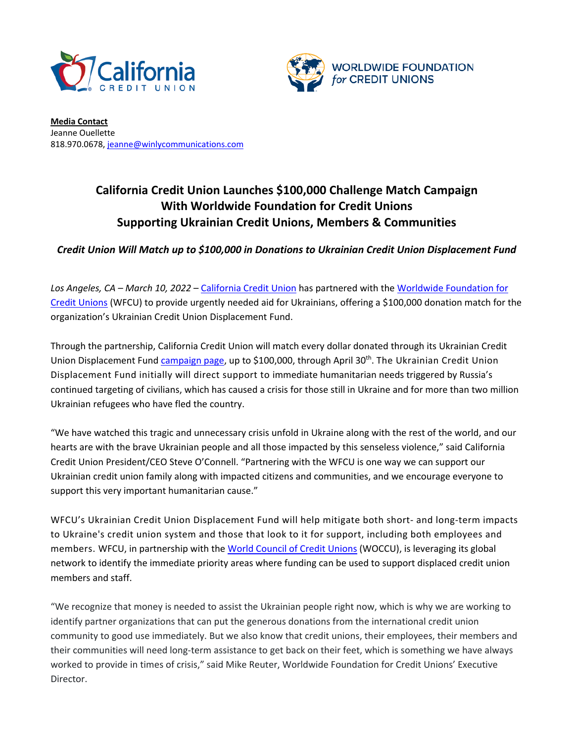



**Media Contact** Jeanne Ouellette 818.970.0678[, jeanne@winlycommunications.com](mailto:jeanne@winlycommunications.com)

## **California Credit Union Launches \$100,000 Challenge Match Campaign With Worldwide Foundation for Credit Unions Supporting Ukrainian Credit Unions, Members & Communities**

## *Credit Union Will Match up to \$100,000 in Donations to Ukrainian Credit Union Displacement Fund*

*Los Angeles, CA – March 10, 2022* – California Credit Union has partnered with the [Worldwide Foundation for](https://www.doglobalgood.org/)  [Credit Unions](https://www.doglobalgood.org/) (WFCU) to provide urgently needed aid for Ukrainians, offering a \$100,000 donation match for the organization's Ukrainian Credit Union Displacement Fund.

Through the partnership, California Credit Union will match every dollar donated through its Ukrainian Credit Union Displacement Fund [campaign page,](https://secure.givelively.org/donate/worldwide-foundation-for-credit-unions-inc/ukraine-cu-displacement-fund/tina-lopez-1) up to \$100,000, through April 30<sup>th</sup>. The Ukrainian Credit Union Displacement Fund initially will direct support to immediate humanitarian needs triggered by Russia's continued targeting of civilians, which has caused a crisis for those still in Ukraine and for more than two million Ukrainian refugees who have fled the country.

"We have watched this tragic and unnecessary crisis unfold in Ukraine along with the rest of the world, and our hearts are with the brave Ukrainian people and all those impacted by this senseless violence," said California Credit Union President/CEO Steve O'Connell. "Partnering with the WFCU is one way we can support our Ukrainian credit union family along with impacted citizens and communities, and we encourage everyone to support this very important humanitarian cause."

WFCU's Ukrainian Credit Union Displacement Fund will help mitigate both short- and long-term impacts to Ukraine's credit union system and those that look to it for support, including both employees and members. WFCU, in partnership with the [World Council of Credit Unions](http://www.woccu.org/) (WOCCU), is leveraging its global network to identify the immediate priority areas where funding can be used to support displaced credit union members and staff.

"We recognize that money is needed to assist the Ukrainian people right now, which is why we are working to identify partner organizations that can put the generous donations from the international credit union community to good use immediately. But we also know that credit unions, their employees, their members and their communities will need long-term assistance to get back on their feet, which is something we have always worked to provide in times of crisis," said Mike Reuter, Worldwide Foundation for Credit Unions' Executive Director.